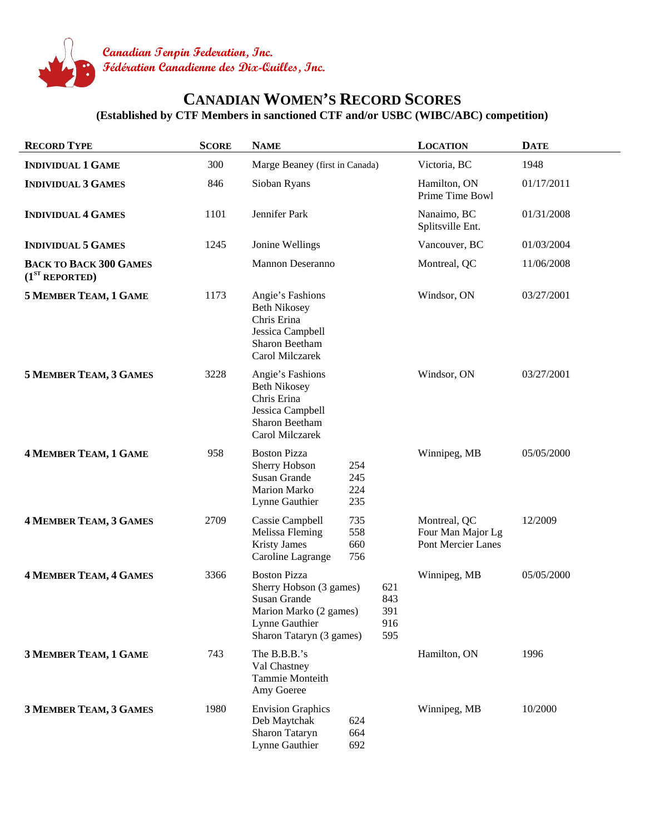

## **CANADIAN WOMEN'S RECORD SCORES**

**(Established by CTF Members in sanctioned CTF and/or USBC (WIBC/ABC) competition)** 

| <b>RECORD TYPE</b>                                          | <b>SCORE</b> | <b>NAME</b>                                                                                                                            |                                 | <b>LOCATION</b>                                         | <b>DATE</b> |
|-------------------------------------------------------------|--------------|----------------------------------------------------------------------------------------------------------------------------------------|---------------------------------|---------------------------------------------------------|-------------|
| <b>INDIVIDUAL 1 GAME</b>                                    | 300          | Marge Beaney (first in Canada)                                                                                                         |                                 | Victoria, BC                                            | 1948        |
| <b>INDIVIDUAL 3 GAMES</b>                                   | 846          | Sioban Ryans                                                                                                                           |                                 | Hamilton, ON<br>Prime Time Bowl                         | 01/17/2011  |
| <b>INDIVIDUAL 4 GAMES</b>                                   | 1101         | Jennifer Park                                                                                                                          |                                 | Nanaimo, BC<br>Splitsville Ent.                         | 01/31/2008  |
| <b>INDIVIDUAL 5 GAMES</b>                                   | 1245         | Jonine Wellings                                                                                                                        |                                 | Vancouver, BC                                           | 01/03/2004  |
| <b>BACK TO BACK 300 GAMES</b><br>(1 <sup>ST</sup> REPORTED) |              | <b>Mannon Deseranno</b>                                                                                                                |                                 | Montreal, QC                                            | 11/06/2008  |
| <b>5 MEMBER TEAM, 1 GAME</b>                                | 1173         | Angie's Fashions<br><b>Beth Nikosey</b><br>Chris Erina<br>Jessica Campbell<br>Sharon Beetham<br>Carol Milczarek                        |                                 | Windsor, ON                                             | 03/27/2001  |
| <b>5 MEMBER TEAM, 3 GAMES</b>                               | 3228         | Angie's Fashions<br><b>Beth Nikosey</b><br>Chris Erina<br>Jessica Campbell<br>Sharon Beetham<br>Carol Milczarek                        |                                 | Windsor, ON                                             | 03/27/2001  |
| 4 MEMBER TEAM, 1 GAME                                       | 958          | <b>Boston Pizza</b><br>Sherry Hobson<br>254<br>Susan Grande<br>245<br><b>Marion Marko</b><br>224<br>Lynne Gauthier<br>235              |                                 | Winnipeg, MB                                            | 05/05/2000  |
| <b>4 MEMBER TEAM, 3 GAMES</b>                               | 2709         | 735<br>Cassie Campbell<br>Melissa Fleming<br>558<br><b>Kristy James</b><br>660<br>Caroline Lagrange<br>756                             |                                 | Montreal, QC<br>Four Man Major Lg<br>Pont Mercier Lanes | 12/2009     |
| <b>4 MEMBER TEAM, 4 GAMES</b>                               | 3366         | <b>Boston Pizza</b><br>Sherry Hobson (3 games)<br>Susan Grande<br>Marion Marko (2 games)<br>Lynne Gauthier<br>Sharon Tataryn (3 games) | 621<br>843<br>391<br>916<br>595 | Winnipeg, MB                                            | 05/05/2000  |
| 3 MEMBER TEAM, 1 GAME                                       | 743          | The B.B.B.'s<br>Val Chastney<br>Tammie Monteith<br>Amy Goeree                                                                          |                                 | Hamilton, ON                                            | 1996        |
| <b>3 MEMBER TEAM, 3 GAMES</b>                               | 1980         | <b>Envision Graphics</b><br>Deb Maytchak<br>624<br>Sharon Tataryn<br>664<br>Lynne Gauthier<br>692                                      |                                 | Winnipeg, MB                                            | 10/2000     |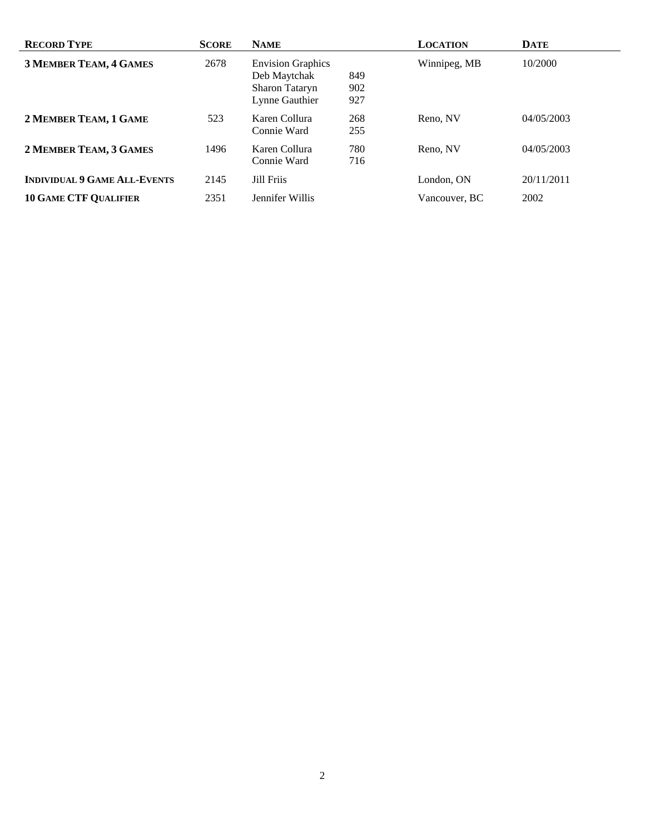| <b>RECORD TYPE</b>                  | <b>SCORE</b> | <b>NAME</b>                                                                  |                   | <b>LOCATION</b> | <b>DATE</b> |
|-------------------------------------|--------------|------------------------------------------------------------------------------|-------------------|-----------------|-------------|
| <b>3 MEMBER TEAM, 4 GAMES</b>       | 2678         | <b>Envision Graphics</b><br>Deb Maytchak<br>Sharon Tataryn<br>Lynne Gauthier | 849<br>902<br>927 | Winnipeg, MB    | 10/2000     |
| 2 MEMBER TEAM, 1 GAME               | 523          | Karen Collura<br>Connie Ward                                                 | 268<br>255        | Reno, NV        | 04/05/2003  |
| 2 MEMBER TEAM, 3 GAMES              | 1496         | Karen Collura<br>Connie Ward                                                 | 780<br>716        | Reno, NV        | 04/05/2003  |
| <b>INDIVIDUAL 9 GAME ALL-EVENTS</b> | 2145         | Jill Friis                                                                   |                   | London. ON      | 20/11/2011  |
| <b>10 GAME CTF QUALIFIER</b>        | 2351         | Jennifer Willis                                                              |                   | Vancouver, BC   | 2002        |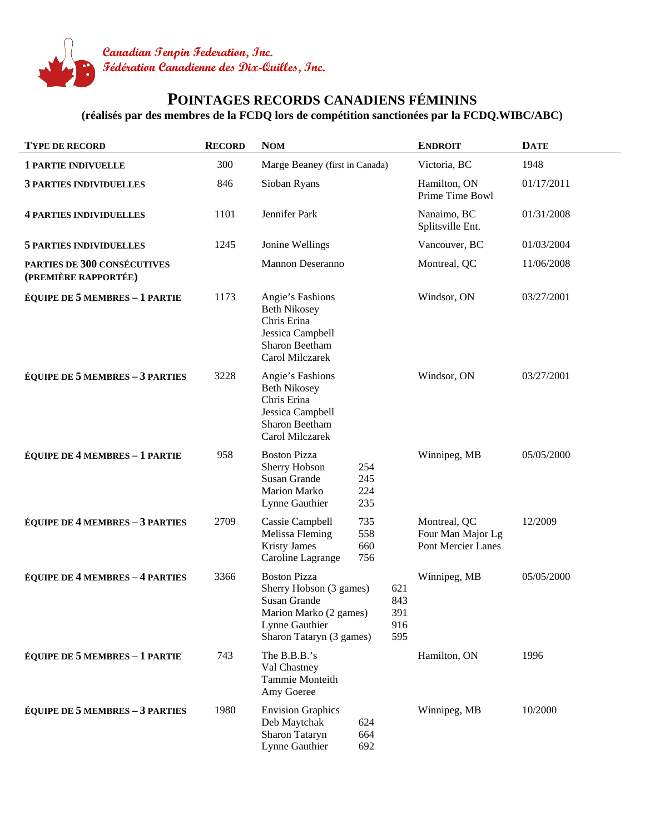

## **POINTAGES RECORDS CANADIENS FÉMININS**

**(réalisés par des membres de la FCDQ lors de compétition sanctionées par la FCDQ.WIBC/ABC)** 

| <b>TYPE DE RECORD</b>                               | <b>RECORD</b> | <b>NOM</b>                                                                                                                             | <b>ENDROIT</b>                                          | <b>DATE</b> |
|-----------------------------------------------------|---------------|----------------------------------------------------------------------------------------------------------------------------------------|---------------------------------------------------------|-------------|
| <b>1 PARTIE INDIVUELLE</b>                          | 300           | Marge Beaney (first in Canada)                                                                                                         | Victoria, BC                                            | 1948        |
| <b>3 PARTIES INDIVIDUELLES</b>                      | 846           | Sioban Ryans                                                                                                                           | Hamilton, ON<br>Prime Time Bowl                         | 01/17/2011  |
| <b>4 PARTIES INDIVIDUELLES</b>                      | 1101          | Jennifer Park                                                                                                                          | Nanaimo, BC<br>Splitsville Ent.                         | 01/31/2008  |
| <b>5 PARTIES INDIVIDUELLES</b>                      | 1245          | Jonine Wellings                                                                                                                        | Vancouver, BC                                           | 01/03/2004  |
| PARTIES DE 300 CONSÉCUTIVES<br>(PREMIÈRE RAPPORTÉE) |               | <b>Mannon Deseranno</b>                                                                                                                | Montreal, QC                                            | 11/06/2008  |
| <b>ÉQUIPE DE 5 MEMBRES - 1 PARTIE</b>               | 1173          | Angie's Fashions<br><b>Beth Nikosey</b><br>Chris Erina<br>Jessica Campbell<br>Sharon Beetham<br><b>Carol Milczarek</b>                 | Windsor, ON                                             | 03/27/2001  |
| <b>ÉQUIPE DE 5 MEMBRES - 3 PARTIES</b>              | 3228          | Angie's Fashions<br><b>Beth Nikosey</b><br>Chris Erina<br>Jessica Campbell<br>Sharon Beetham<br>Carol Milczarek                        | Windsor, ON                                             | 03/27/2001  |
| <b>ÉQUIPE DE 4 MEMBRES - 1 PARTIE</b>               | 958           | <b>Boston Pizza</b><br>Sherry Hobson<br>254<br><b>Susan Grande</b><br>245<br>224<br><b>Marion Marko</b><br>235<br>Lynne Gauthier       | Winnipeg, MB                                            | 05/05/2000  |
| <b>ÉQUIPE DE 4 MEMBRES - 3 PARTIES</b>              | 2709          | 735<br>Cassie Campbell<br>558<br>Melissa Fleming<br><b>Kristy James</b><br>660<br>Caroline Lagrange<br>756                             | Montreal, QC<br>Four Man Major Lg<br>Pont Mercier Lanes | 12/2009     |
| <b>ÉQUIPE DE 4 MEMBRES - 4 PARTIES</b>              | 3366          | <b>Boston Pizza</b><br>Sherry Hobson (3 games)<br>Susan Grande<br>Marion Marko (2 games)<br>Lynne Gauthier<br>Sharon Tataryn (3 games) | Winnipeg, MB<br>621<br>843<br>391<br>916<br>595         | 05/05/2000  |
| <b>ÉQUIPE DE 5 MEMBRES - 1 PARTIE</b>               | 743           | The B.B.B.'s<br>Val Chastney<br>Tammie Monteith<br>Amy Goeree                                                                          | Hamilton, ON                                            | 1996        |
| <b>ÉQUIPE DE 5 MEMBRES - 3 PARTIES</b>              | 1980          | <b>Envision Graphics</b><br>Deb Maytchak<br>624<br>Sharon Tataryn<br>664<br>Lynne Gauthier<br>692                                      | Winnipeg, MB                                            | 10/2000     |